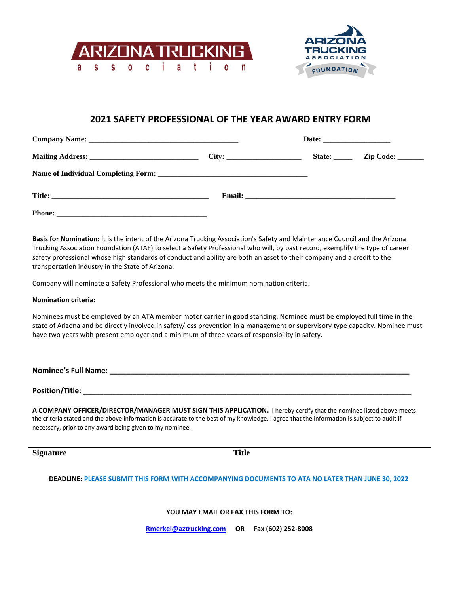



## **2021 SAFETY PROFESSIONAL OF THE YEAR AWARD ENTRY FORM**

|               |  |  | State: <u>Zip Code:</u> |  |
|---------------|--|--|-------------------------|--|
|               |  |  |                         |  |
|               |  |  |                         |  |
| <b>Phone:</b> |  |  |                         |  |

**Basis for Nomination:** It is the intent of the Arizona Trucking Association's Safety and Maintenance Council and the Arizona Trucking Association Foundation (ATAF) to select a Safety Professional who will, by past record, exemplify the type of career safety professional whose high standards of conduct and ability are both an asset to their company and a credit to the transportation industry in the State of Arizona.

Company will nominate a Safety Professional who meets the minimum nomination criteria.

## **Nomination criteria:**

Nominees must be employed by an ATA member motor carrier in good standing. Nominee must be employed full time in the state of Arizona and be directly involved in safety/loss prevention in a management or supervisory type capacity. Nominee must have two years with present employer and a minimum of three years of responsibility in safety.

**Nominee's Full Name: \_\_\_\_\_\_\_\_\_\_\_\_\_\_\_\_\_\_\_\_\_\_\_\_\_\_\_\_\_\_\_\_\_\_\_\_\_\_\_\_\_\_\_\_\_\_\_\_\_\_\_\_\_\_\_\_\_\_\_\_\_\_\_\_\_\_\_\_\_\_\_\_\_** 

**Position/Title:**  $\blacksquare$ 

**A COMPANY OFFICER/DIRECTOR/MANAGER MUST SIGN THIS APPLICATION.** I hereby certify that the nominee listed above meets the criteria stated and the above information is accurate to the best of my knowledge. I agree that the information is subject to audit if necessary, prior to any award being given to my nominee.

**Signature Title**

**DEADLINE: PLEASE SUBMIT THIS FORM WITH ACCOMPANYING DOCUMENTS TO ATA NO LATER THAN JUNE 30, 2022**

**YOU MAY EMAIL OR FAX THIS FORM TO:**

**Rmerkel@aztrucking.com OR Fax (602) 252-8008**